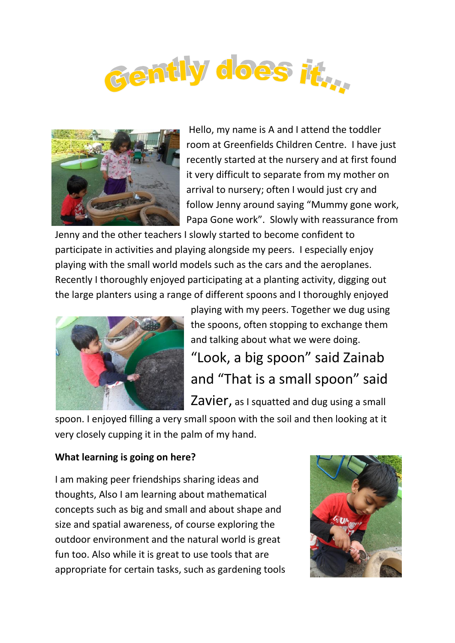



Hello, my name is A and I attend the toddler room at Greenfields Children Centre. I have just recently started at the nursery and at first found it very difficult to separate from my mother on arrival to nursery; often I would just cry and follow Jenny around saying "Mummy gone work, Papa Gone work". Slowly with reassurance from

Jenny and the other teachers I slowly started to become confident to participate in activities and playing alongside my peers. I especially enjoy playing with the small world models such as the cars and the aeroplanes. Recently I thoroughly enjoyed participating at a planting activity, digging out the large planters using a range of different spoons and I thoroughly enjoyed



playing with my peers. Together we dug using the spoons, often stopping to exchange them and talking about what we were doing. "Look, a big spoon" said Zainab and "That is a small spoon" said Zavier, as I squatted and dug using a small

spoon. I enjoyed filling a very small spoon with the soil and then looking at it very closely cupping it in the palm of my hand.

## **What learning is going on here?**

I am making peer friendships sharing ideas and thoughts, Also I am learning about mathematical concepts such as big and small and about shape and size and spatial awareness, of course exploring the outdoor environment and the natural world is great fun too. Also while it is great to use tools that are appropriate for certain tasks, such as gardening tools